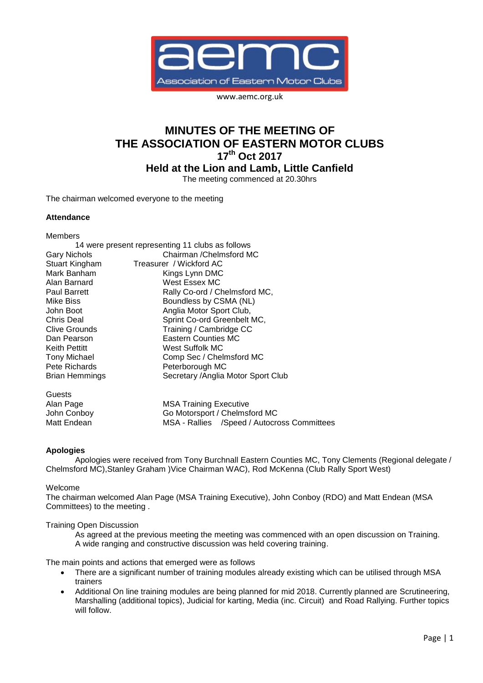

www.aemc.org.uk

# **MINUTES OF THE MEETING OF THE ASSOCIATION OF EASTERN MOTOR CLUBS 17th Oct 2017**

**Held at the Lion and Lamb, Little Canfield**

The meeting commenced at 20.30hrs

The chairman welcomed everyone to the meeting

## **Attendance**

Members

| 14 were present representing 11 clubs as follows |                                     |
|--------------------------------------------------|-------------------------------------|
| <b>Gary Nichols</b>                              | Chairman / Chelmsford MC            |
| Stuart Kingham                                   | Treasurer / Wickford AC             |
| Mark Banham                                      | Kings Lynn DMC                      |
| Alan Barnard                                     | West Essex MC                       |
| <b>Paul Barrett</b>                              | Rally Co-ord / Chelmsford MC,       |
| Mike Biss                                        | Boundless by CSMA (NL)              |
| John Boot                                        | Anglia Motor Sport Club,            |
| Chris Deal                                       | Sprint Co-ord Greenbelt MC,         |
| <b>Clive Grounds</b>                             | Training / Cambridge CC             |
| Dan Pearson                                      | <b>Eastern Counties MC</b>          |
| <b>Keith Pettitt</b>                             | West Suffolk MC                     |
| <b>Tony Michael</b>                              | Comp Sec / Chelmsford MC            |
| Pete Richards                                    | Peterborough MC                     |
| Brian Hemmings                                   | Secretary / Anglia Motor Sport Club |
| Guests                                           |                                     |
| Alan Page                                        | <b>MSA Training Executive</b>       |
| John Conboy                                      | Go Motorsport / Chelmsford MC       |

Matt Endean MSA - Rallies / Speed / Autocross Committees

## **Apologies**

Apologies were received from Tony Burchnall Eastern Counties MC, Tony Clements (Regional delegate / Chelmsford MC),Stanley Graham )Vice Chairman WAC), Rod McKenna (Club Rally Sport West)

#### Welcome

The chairman welcomed Alan Page (MSA Training Executive), John Conboy (RDO) and Matt Endean (MSA Committees) to the meeting .

#### Training Open Discussion

As agreed at the previous meeting the meeting was commenced with an open discussion on Training. A wide ranging and constructive discussion was held covering training.

The main points and actions that emerged were as follows

- There are a significant number of training modules already existing which can be utilised through MSA trainers
- Additional On line training modules are being planned for mid 2018. Currently planned are Scrutineering, Marshalling (additional topics), Judicial for karting, Media (inc. Circuit) and Road Rallying. Further topics will follow.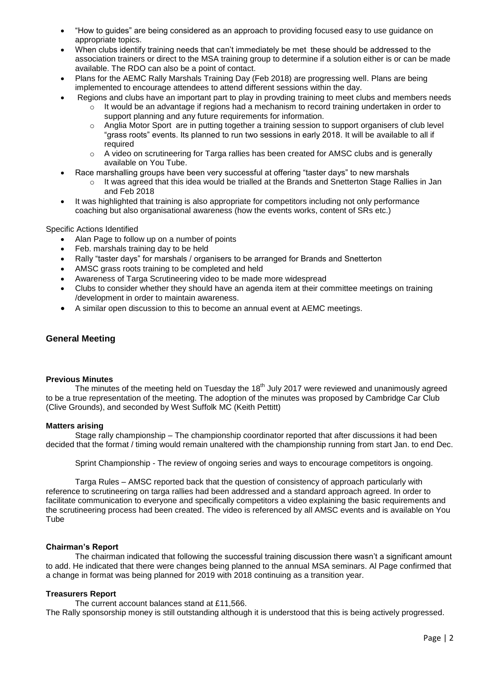- "How to guides" are being considered as an approach to providing focused easy to use guidance on appropriate topics.
- When clubs identify training needs that can't immediately be met these should be addressed to the association trainers or direct to the MSA training group to determine if a solution either is or can be made available. The RDO can also be a point of contact.
- Plans for the AEMC Rally Marshals Training Day (Feb 2018) are progressing well. Plans are being implemented to encourage attendees to attend different sessions within the day.
	- Regions and clubs have an important part to play in provding training to meet clubs and members needs It would be an advantage if regions had a mechanism to record training undertaken in order to support planning and any future requirements for information.
		- $\circ$  Anglia Motor Sport are in putting together a training session to support organisers of club level "grass roots" events. Its planned to run two sessions in early 2018. It will be available to all if required
		- o A video on scrutineering for Targa rallies has been created for AMSC clubs and is generally available on You Tube.
- Race marshalling groups have been very successful at offering "taster days" to new marshals
	- $\circ$  It was agreed that this idea would be trialled at the Brands and Snetterton Stage Rallies in Jan and Feb 2018
- It was highlighted that training is also appropriate for competitors including not only performance coaching but also organisational awareness (how the events works, content of SRs etc.)

Specific Actions Identified

- Alan Page to follow up on a number of points
- Feb. marshals training day to be held
- Rally "taster days" for marshals / organisers to be arranged for Brands and Snetterton
- AMSC grass roots training to be completed and held
- Awareness of Targa Scrutineering video to be made more widespread
- Clubs to consider whether they should have an agenda item at their committee meetings on training /development in order to maintain awareness.
- A similar open discussion to this to become an annual event at AEMC meetings.

# **General Meeting**

### **Previous Minutes**

The minutes of the meeting held on Tuesday the 18<sup>th</sup> July 2017 were reviewed and unanimously agreed to be a true representation of the meeting. The adoption of the minutes was proposed by Cambridge Car Club (Clive Grounds), and seconded by West Suffolk MC (Keith Pettitt)

#### **Matters arising**

Stage rally championship – The championship coordinator reported that after discussions it had been decided that the format / timing would remain unaltered with the championship running from start Jan. to end Dec.

Sprint Championship - The review of ongoing series and ways to encourage competitors is ongoing.

Targa Rules – AMSC reported back that the question of consistency of approach particularly with reference to scrutineering on targa rallies had been addressed and a standard approach agreed. In order to facilitate communication to everyone and specifically competitors a video explaining the basic requirements and the scrutineering process had been created. The video is referenced by all AMSC events and is available on You **Tube** 

#### **Chairman's Report**

The chairman indicated that following the successful training discussion there wasn't a significant amount to add. He indicated that there were changes being planned to the annual MSA seminars. Al Page confirmed that a change in format was being planned for 2019 with 2018 continuing as a transition year.

# **Treasurers Report**

The current account balances stand at £11,566. The Rally sponsorship money is still outstanding although it is understood that this is being actively progressed.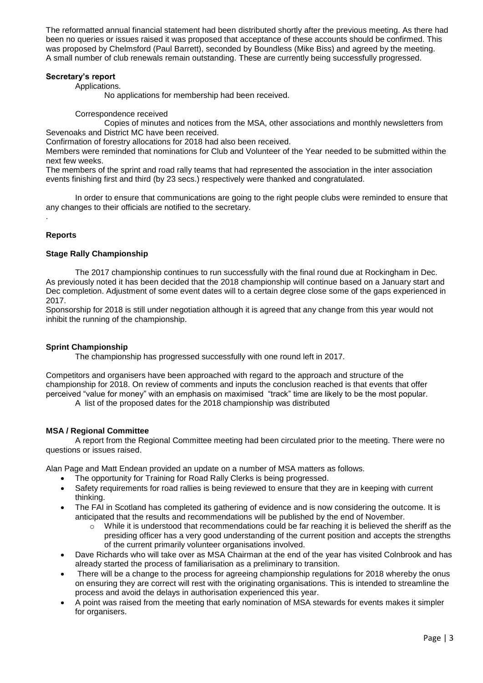The reformatted annual financial statement had been distributed shortly after the previous meeting. As there had been no queries or issues raised it was proposed that acceptance of these accounts should be confirmed. This was proposed by Chelmsford (Paul Barrett), seconded by Boundless (Mike Biss) and agreed by the meeting. A small number of club renewals remain outstanding. These are currently being successfully progressed.

## **Secretary's report**

Applications.

No applications for membership had been received.

Correspondence received

Copies of minutes and notices from the MSA, other associations and monthly newsletters from Sevenoaks and District MC have been received.

Confirmation of forestry allocations for 2018 had also been received.

Members were reminded that nominations for Club and Volunteer of the Year needed to be submitted within the next few weeks.

The members of the sprint and road rally teams that had represented the association in the inter association events finishing first and third (by 23 secs.) respectively were thanked and congratulated.

In order to ensure that communications are going to the right people clubs were reminded to ensure that any changes to their officials are notified to the secretary.

# **Reports**

.

# **Stage Rally Championship**

The 2017 championship continues to run successfully with the final round due at Rockingham in Dec. As previously noted it has been decided that the 2018 championship will continue based on a January start and Dec completion. Adjustment of some event dates will to a certain degree close some of the gaps experienced in 2017.

Sponsorship for 2018 is still under negotiation although it is agreed that any change from this year would not inhibit the running of the championship.

# **Sprint Championship**

The championship has progressed successfully with one round left in 2017.

Competitors and organisers have been approached with regard to the approach and structure of the championship for 2018. On review of comments and inputs the conclusion reached is that events that offer perceived "value for money" with an emphasis on maximised "track" time are likely to be the most popular.

A list of the proposed dates for the 2018 championship was distributed

# **MSA / Regional Committee**

A report from the Regional Committee meeting had been circulated prior to the meeting. There were no questions or issues raised.

Alan Page and Matt Endean provided an update on a number of MSA matters as follows.

- The opportunity for Training for Road Rally Clerks is being progressed.
- Safety requirements for road rallies is being reviewed to ensure that they are in keeping with current thinking.
- The FAI in Scotland has completed its gathering of evidence and is now considering the outcome. It is anticipated that the results and recommendations will be published by the end of November.
	- $\circ$  While it is understood that recommendations could be far reaching it is believed the sheriff as the presiding officer has a very good understanding of the current position and accepts the strengths of the current primarily volunteer organisations involved.
- Dave Richards who will take over as MSA Chairman at the end of the year has visited Colnbrook and has already started the process of familiarisation as a preliminary to transition.
- There will be a change to the process for agreeing championship regulations for 2018 whereby the onus on ensuring they are correct will rest with the originating organisations. This is intended to streamline the process and avoid the delays in authorisation experienced this year.
- A point was raised from the meeting that early nomination of MSA stewards for events makes it simpler for organisers.